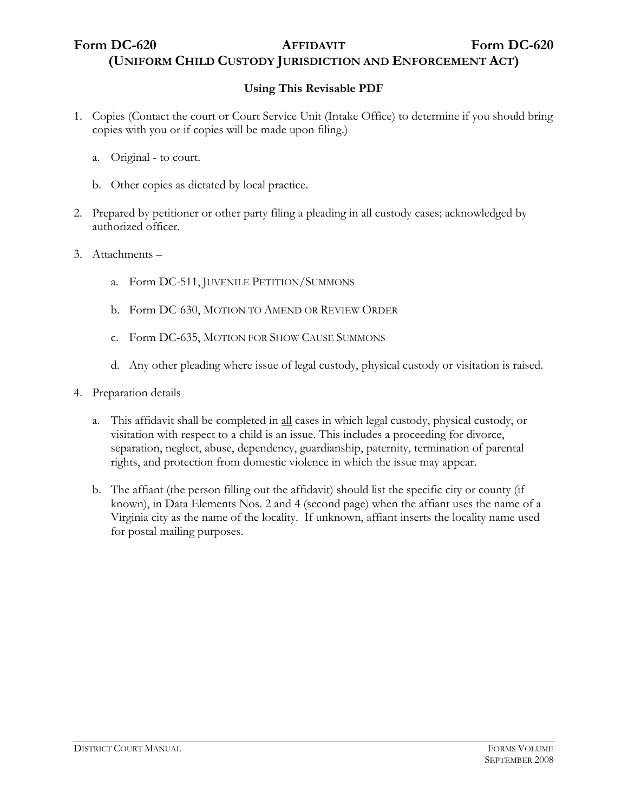## Form DC-620 **AFFIDAVIT** Form DC-620 **(UNIFORM CHILD CUSTODY JURISDICTION AND ENFORCEMENT ACT)**

### **Using This Revisable PDF**

- 1. Copies (Contact the court or Court Service Unit (Intake Office) to determine if you should bring copies with you or if copies will be made upon filing.)
	- a. Original to court.
	- b. Other copies as dictated by local practice.
- 2. Prepared by petitioner or other party filing a pleading in all custody cases; acknowledged by authorized officer.
- 3. Attachments
	- a. Form DC-511, JUVENILE PETITION/SUMMONS
	- b. Form DC-630, MOTION TO AMEND OR REVIEW ORDER
	- c. Form DC-635, MOTION FOR SHOW CAUSE SUMMONS
	- d. Any other pleading where issue of legal custody, physical custody or visitation is raised.
- 4. Preparation details
	- a. This affidavit shall be completed in all cases in which legal custody, physical custody, or visitation with respect to a child is an issue. This includes a proceeding for divorce, separation, neglect, abuse, dependency, guardianship, paternity, termination of parental rights, and protection from domestic violence in which the issue may appear.
	- b. The affiant (the person filling out the affidavit) should list the specific city or county (if known), in Data Elements Nos. 2 and 4 (second page) when the affiant uses the name of a Virginia city as the name of the locality. If unknown, affiant inserts the locality name used for postal mailing purposes.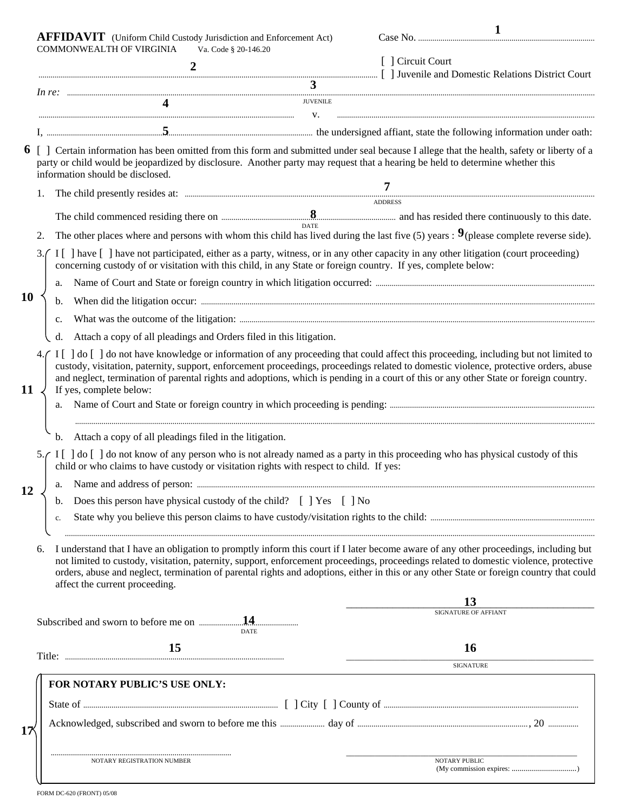|           | <b>AFFIDAVIT</b> (Uniform Child Custody Jurisdiction and Enforcement Act)                                                                                                                                                                                                                                       |                                                                                                                                                                                                                                                                                                                                                                                                                                                             |                | $\mathbf{1}$               |  |  |  |
|-----------|-----------------------------------------------------------------------------------------------------------------------------------------------------------------------------------------------------------------------------------------------------------------------------------------------------------------|-------------------------------------------------------------------------------------------------------------------------------------------------------------------------------------------------------------------------------------------------------------------------------------------------------------------------------------------------------------------------------------------------------------------------------------------------------------|----------------|----------------------------|--|--|--|
|           |                                                                                                                                                                                                                                                                                                                 | COMMONWEALTH OF VIRGINIA<br>Va. Code § 20-146.20<br>$\overline{2}$<br>and Domestic Relations District Court                                                                                                                                                                                                                                                                                                                                                 |                | [ ] Circuit Court          |  |  |  |
|           |                                                                                                                                                                                                                                                                                                                 | 3                                                                                                                                                                                                                                                                                                                                                                                                                                                           |                |                            |  |  |  |
|           |                                                                                                                                                                                                                                                                                                                 | <b>JUVENILE</b>                                                                                                                                                                                                                                                                                                                                                                                                                                             |                |                            |  |  |  |
|           | V.                                                                                                                                                                                                                                                                                                              |                                                                                                                                                                                                                                                                                                                                                                                                                                                             |                |                            |  |  |  |
|           | 6 [] Certain information has been omitted from this form and submitted under seal because I allege that the health, safety or liberty of a<br>party or child would be jeopardized by disclosure. Another party may request that a hearing be held to determine whether this<br>information should be disclosed. |                                                                                                                                                                                                                                                                                                                                                                                                                                                             |                |                            |  |  |  |
|           | 1.                                                                                                                                                                                                                                                                                                              |                                                                                                                                                                                                                                                                                                                                                                                                                                                             | 7              |                            |  |  |  |
|           |                                                                                                                                                                                                                                                                                                                 |                                                                                                                                                                                                                                                                                                                                                                                                                                                             | <b>ADDRESS</b> |                            |  |  |  |
|           |                                                                                                                                                                                                                                                                                                                 |                                                                                                                                                                                                                                                                                                                                                                                                                                                             |                |                            |  |  |  |
|           | 2.                                                                                                                                                                                                                                                                                                              | The other places where and persons with whom this child has lived during the last five (5) years : $9$ (please complete reverse side).                                                                                                                                                                                                                                                                                                                      |                |                            |  |  |  |
|           | 3.                                                                                                                                                                                                                                                                                                              | I [ ] have [ ] have not participated, either as a party, witness, or in any other capacity in any other litigation (court proceeding)<br>concerning custody of or visitation with this child, in any State or foreign country. If yes, complete below:                                                                                                                                                                                                      |                |                            |  |  |  |
| <b>10</b> |                                                                                                                                                                                                                                                                                                                 |                                                                                                                                                                                                                                                                                                                                                                                                                                                             |                |                            |  |  |  |
|           |                                                                                                                                                                                                                                                                                                                 | b.                                                                                                                                                                                                                                                                                                                                                                                                                                                          |                |                            |  |  |  |
|           |                                                                                                                                                                                                                                                                                                                 | c.                                                                                                                                                                                                                                                                                                                                                                                                                                                          |                |                            |  |  |  |
|           |                                                                                                                                                                                                                                                                                                                 | Attach a copy of all pleadings and Orders filed in this litigation.<br>d.                                                                                                                                                                                                                                                                                                                                                                                   |                |                            |  |  |  |
| 11        |                                                                                                                                                                                                                                                                                                                 | I [ ] do [ ] do not have knowledge or information of any proceeding that could affect this proceeding, including but not limited to<br>custody, visitation, paternity, support, enforcement proceedings, proceedings related to domestic violence, protective orders, abuse<br>and neglect, termination of parental rights and adoptions, which is pending in a court of this or any other State or foreign country.<br>If yes, complete below:             |                |                            |  |  |  |
| 12        |                                                                                                                                                                                                                                                                                                                 | Attach a copy of all pleadings filed in the litigation.<br>b.                                                                                                                                                                                                                                                                                                                                                                                               |                |                            |  |  |  |
|           |                                                                                                                                                                                                                                                                                                                 | 5. [1] do [1] do not know of any person who is not already named as a party in this proceeding who has physical custody of this<br>child or who claims to have custody or visitation rights with respect to child. If yes:                                                                                                                                                                                                                                  |                |                            |  |  |  |
|           |                                                                                                                                                                                                                                                                                                                 |                                                                                                                                                                                                                                                                                                                                                                                                                                                             |                |                            |  |  |  |
|           |                                                                                                                                                                                                                                                                                                                 | Does this person have physical custody of the child? [ ] Yes [ ] No<br>b.                                                                                                                                                                                                                                                                                                                                                                                   |                |                            |  |  |  |
|           |                                                                                                                                                                                                                                                                                                                 | c.                                                                                                                                                                                                                                                                                                                                                                                                                                                          |                |                            |  |  |  |
|           | 6.                                                                                                                                                                                                                                                                                                              | I understand that I have an obligation to promptly inform this court if I later become aware of any other proceedings, including but<br>not limited to custody, visitation, paternity, support, enforcement proceedings, proceedings related to domestic violence, protective<br>orders, abuse and neglect, termination of parental rights and adoptions, either in this or any other State or foreign country that could<br>affect the current proceeding. |                |                            |  |  |  |
|           |                                                                                                                                                                                                                                                                                                                 |                                                                                                                                                                                                                                                                                                                                                                                                                                                             |                | 13<br>SIGNATURE OF AFFIANT |  |  |  |
|           |                                                                                                                                                                                                                                                                                                                 | .14.<br><b>DATE</b>                                                                                                                                                                                                                                                                                                                                                                                                                                         |                |                            |  |  |  |
|           |                                                                                                                                                                                                                                                                                                                 | 15                                                                                                                                                                                                                                                                                                                                                                                                                                                          |                | 16                         |  |  |  |
|           |                                                                                                                                                                                                                                                                                                                 |                                                                                                                                                                                                                                                                                                                                                                                                                                                             |                | <b>SIGNATURE</b>           |  |  |  |
|           |                                                                                                                                                                                                                                                                                                                 | FOR NOTARY PUBLIC'S USE ONLY:                                                                                                                                                                                                                                                                                                                                                                                                                               |                |                            |  |  |  |
|           |                                                                                                                                                                                                                                                                                                                 |                                                                                                                                                                                                                                                                                                                                                                                                                                                             |                |                            |  |  |  |
|           |                                                                                                                                                                                                                                                                                                                 |                                                                                                                                                                                                                                                                                                                                                                                                                                                             |                |                            |  |  |  |
| 17        |                                                                                                                                                                                                                                                                                                                 |                                                                                                                                                                                                                                                                                                                                                                                                                                                             |                |                            |  |  |  |
|           |                                                                                                                                                                                                                                                                                                                 | NOTARY REGISTRATION NUMBER                                                                                                                                                                                                                                                                                                                                                                                                                                  |                | NOTARY PUBLIC              |  |  |  |
|           |                                                                                                                                                                                                                                                                                                                 |                                                                                                                                                                                                                                                                                                                                                                                                                                                             |                |                            |  |  |  |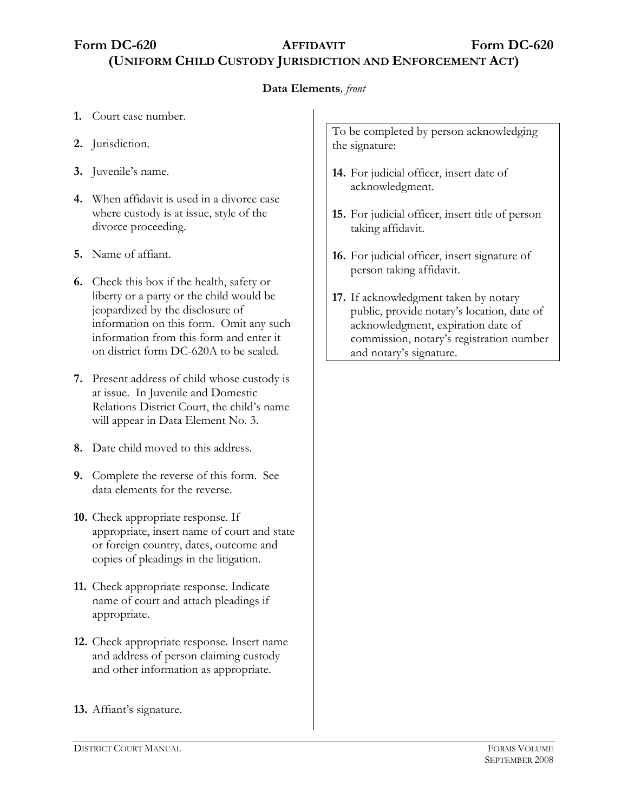Form DC-620 **AFFIDAVIT** Form DC-620 **(UNIFORM CHILD CUSTODY JURISDICTION AND ENFORCEMENT ACT)**

#### **Data Elements***, front*

- **1.** Court case number.
- **2.** Jurisdiction.
- **3.** Juvenile's name.
- **4.** When affidavit is used in a divorce case where custody is at issue, style of the divorce proceeding.
- **5.** Name of affiant.
- **6.** Check this box if the health, safety or liberty or a party or the child would be jeopardized by the disclosure of information on this form. Omit any such information from this form and enter it on district form DC-620A to be sealed.
- **7.** Present address of child whose custody is at issue. In Juvenile and Domestic Relations District Court, the child's name will appear in Data Element No. 3.
- **8.** Date child moved to this address.
- **9.** Complete the reverse of this form. See data elements for the reverse.
- **10.** Check appropriate response. If appropriate, insert name of court and state or foreign country, dates, outcome and copies of pleadings in the litigation.
- **11.** Check appropriate response. Indicate name of court and attach pleadings if appropriate.
- **12.** Check appropriate response. Insert name and address of person claiming custody and other information as appropriate.
- **13.** Affiant's signature.

To be completed by person acknowledging the signature:

- **14.** For judicial officer, insert date of acknowledgment.
- **15.** For judicial officer, insert title of person taking affidavit.
- **16.** For judicial officer, insert signature of person taking affidavit.
- **17.** If acknowledgment taken by notary public, provide notary's location, date of acknowledgment, expiration date of commission, notary's registration number and notary's signature.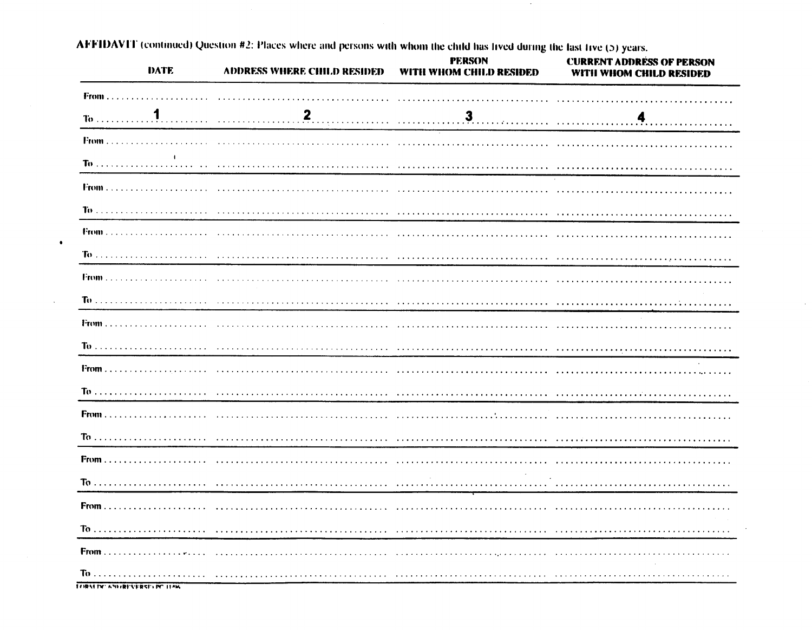| DATE                         | <b>ADDRESS WHERE CHILD RESIDED</b> | PERSON<br>WITH WHOM CHILD RESIDED | <b>CURRENT ADDRESS OF PERSON</b><br>WITH WHOM CHILD RESIDED |
|------------------------------|------------------------------------|-----------------------------------|-------------------------------------------------------------|
|                              |                                    |                                   |                                                             |
|                              |                                    |                                   |                                                             |
|                              |                                    |                                   |                                                             |
|                              |                                    |                                   |                                                             |
|                              |                                    |                                   |                                                             |
|                              |                                    |                                   |                                                             |
|                              |                                    |                                   |                                                             |
|                              |                                    |                                   |                                                             |
|                              |                                    |                                   |                                                             |
|                              |                                    |                                   |                                                             |
|                              |                                    |                                   |                                                             |
|                              |                                    |                                   |                                                             |
|                              |                                    |                                   |                                                             |
|                              |                                    |                                   |                                                             |
|                              |                                    |                                   |                                                             |
|                              |                                    |                                   |                                                             |
|                              |                                    |                                   |                                                             |
|                              |                                    |                                   |                                                             |
|                              |                                    |                                   |                                                             |
|                              |                                    |                                   |                                                             |
|                              |                                    |                                   |                                                             |
| LORALIN' 63HREVERSELIN' 115K |                                    |                                   |                                                             |

AFFIDAVIT (continued) Question #2: Places where and persons with whom the child has lived during the fast live (5) years.

 $\bullet$ 

 $\lambda$ 

 $\sim$ 

 $\sim$ 

 $\ddot{\phantom{0}}$